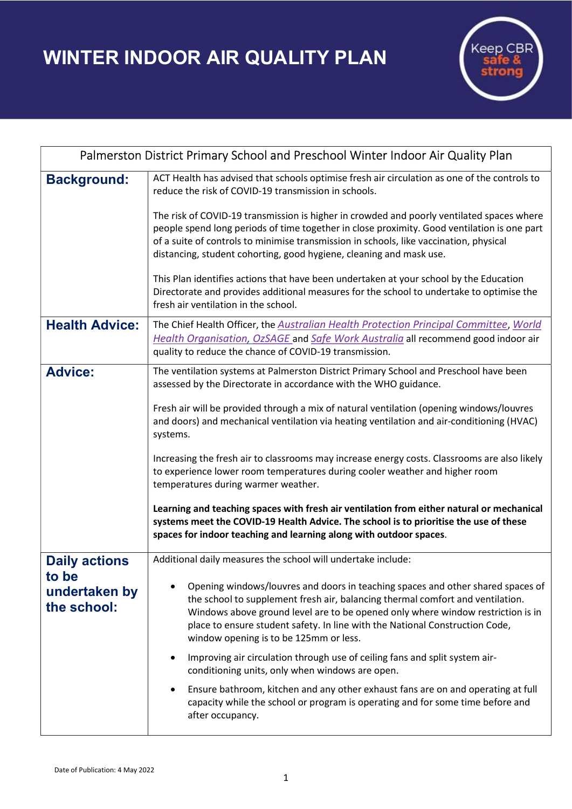WINTER INDOOR AIR QUALITY PLAN



| Palmerston District Primary School and Preschool Winter Indoor Air Quality Plan |                                                                                                                                                                                                                                                                                                                                                                                |
|---------------------------------------------------------------------------------|--------------------------------------------------------------------------------------------------------------------------------------------------------------------------------------------------------------------------------------------------------------------------------------------------------------------------------------------------------------------------------|
| <b>Background:</b>                                                              | ACT Health has advised that schools optimise fresh air circulation as one of the controls to<br>reduce the risk of COVID-19 transmission in schools.                                                                                                                                                                                                                           |
|                                                                                 | The risk of COVID-19 transmission is higher in crowded and poorly ventilated spaces where<br>people spend long periods of time together in close proximity. Good ventilation is one part<br>of a suite of controls to minimise transmission in schools, like vaccination, physical<br>distancing, student cohorting, good hygiene, cleaning and mask use.                      |
|                                                                                 | This Plan identifies actions that have been undertaken at your school by the Education<br>Directorate and provides additional measures for the school to undertake to optimise the<br>fresh air ventilation in the school.                                                                                                                                                     |
| <b>Health Advice:</b>                                                           | The Chief Health Officer, the Australian Health Protection Principal Committee, World<br>Health Organisation, OzSAGE and Safe Work Australia all recommend good indoor air<br>quality to reduce the chance of COVID-19 transmission.                                                                                                                                           |
| <b>Advice:</b>                                                                  | The ventilation systems at Palmerston District Primary School and Preschool have been<br>assessed by the Directorate in accordance with the WHO guidance.                                                                                                                                                                                                                      |
|                                                                                 | Fresh air will be provided through a mix of natural ventilation (opening windows/louvres<br>and doors) and mechanical ventilation via heating ventilation and air-conditioning (HVAC)<br>systems.                                                                                                                                                                              |
|                                                                                 | Increasing the fresh air to classrooms may increase energy costs. Classrooms are also likely<br>to experience lower room temperatures during cooler weather and higher room<br>temperatures during warmer weather.                                                                                                                                                             |
|                                                                                 | Learning and teaching spaces with fresh air ventilation from either natural or mechanical<br>systems meet the COVID-19 Health Advice. The school is to prioritise the use of these<br>spaces for indoor teaching and learning along with outdoor spaces.                                                                                                                       |
| <b>Daily actions</b>                                                            | Additional daily measures the school will undertake include:                                                                                                                                                                                                                                                                                                                   |
| to be<br>undertaken by<br>the school:                                           | Opening windows/louvres and doors in teaching spaces and other shared spaces of<br>the school to supplement fresh air, balancing thermal comfort and ventilation.<br>Windows above ground level are to be opened only where window restriction is in<br>place to ensure student safety. In line with the National Construction Code,<br>window opening is to be 125mm or less. |
|                                                                                 | Improving air circulation through use of ceiling fans and split system air-<br>conditioning units, only when windows are open.                                                                                                                                                                                                                                                 |
|                                                                                 | Ensure bathroom, kitchen and any other exhaust fans are on and operating at full<br>$\bullet$<br>capacity while the school or program is operating and for some time before and<br>after occupancy.                                                                                                                                                                            |